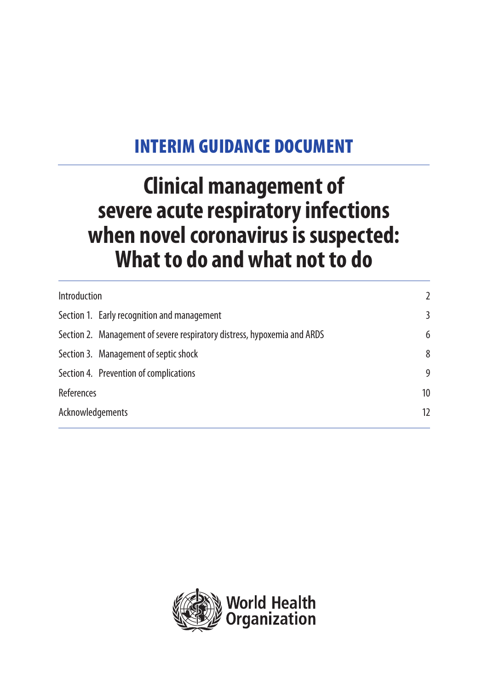# INTERIM GUIDANCE DOCUMENT

# **Clinical management of severe acute respiratory infections when novel coronavirus is suspected: What to do and what not to do**

| Introduction                                                             | $\overline{2}$ |
|--------------------------------------------------------------------------|----------------|
| Section 1. Early recognition and management                              | 3              |
| Section 2. Management of severe respiratory distress, hypoxemia and ARDS | 6              |
| Section 3. Management of septic shock                                    | 8              |
| Section 4. Prevention of complications                                   | 9              |
| References                                                               | 10             |
| Acknowledgements                                                         |                |
|                                                                          |                |

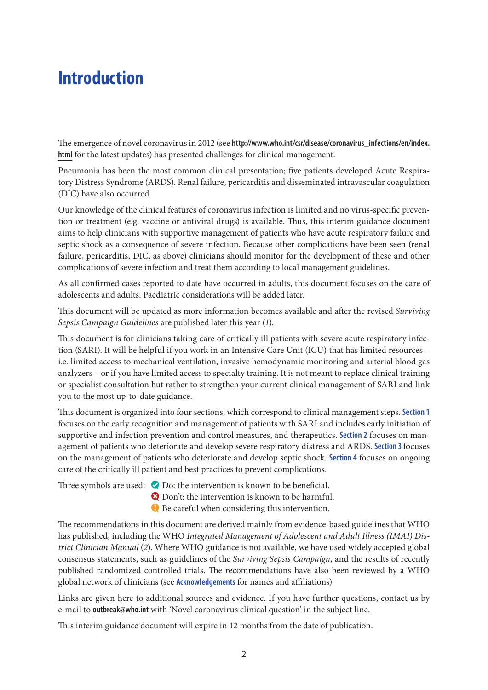## **Introduction**

The emergence of novel coronavirus in 2012 (see **http://www.who.int/csr/disease/coronavirus\_infections/en/index. html** for the latest updates) has presented challenges for clinical management.

Pneumonia has been the most common clinical presentation; five patients developed Acute Respiratory Distress Syndrome (ARDS). Renal failure, pericarditis and disseminated intravascular coagulation (DIC) have also occurred.

Our knowledge of the clinical features of coronavirus infection is limited and no virus-specific prevention or treatment (e.g. vaccine or antiviral drugs) is available. Thus, this interim guidance document aims to help clinicians with supportive management of patients who have acute respiratory failure and septic shock as a consequence of severe infection. Because other complications have been seen (renal failure, pericarditis, DIC, as above) clinicians should monitor for the development of these and other complications of severe infection and treat them according to local management guidelines.

As all confirmed cases reported to date have occurred in adults, this document focuses on the care of adolescents and adults. Paediatric considerations will be added later.

This document will be updated as more information becomes available and after the revised *Surviving Sepsis Campaign Guidelines* are published later this year (*1*).

This document is for clinicians taking care of critically ill patients with severe acute respiratory infection (SARI). It will be helpful if you work in an Intensive Care Unit (ICU) that has limited resources – i.e. limited access to mechanical ventilation, invasive hemodynamic monitoring and arterial blood gas analyzers – or if you have limited access to specialty training. It is not meant to replace clinical training or specialist consultation but rather to strengthen your current clinical management of SARI and link you to the most up-to-date guidance.

This document is organized into four sections, which correspond to clinical management steps. **Section 1** focuses on the early recognition and management of patients with SARI and includes early initiation of supportive and infection prevention and control measures, and therapeutics. **Section 2** focuses on management of patients who deteriorate and develop severe respiratory distress and ARDS. **Section 3** focuses on the management of patients who deteriorate and develop septic shock. **Section 4** focuses on ongoing care of the critically ill patient and best practices to prevent complications.

Three symbols are used:  $\bullet$  Do: the intervention is known to be beneficial.

- **Q** Don't: the intervention is known to be harmful.
- **Q** Be careful when considering this intervention.

The recommendations in this document are derived mainly from evidence-based guidelines that WHO has published, including the WHO *Integrated Management of Adolescent and Adult Illness (IMAI) District Clinician Manual* (*2*). Where WHO guidance is not available, we have used widely accepted global consensus statements, such as guidelines of the *Surviving Sepsis Campaign*, and the results of recently published randomized controlled trials. The recommendations have also been reviewed by a WHO global network of clinicians (see **Acknowledgements** for names and affiliations).

Links are given here to additional sources and evidence. If you have further questions, contact us by e-mail to **outbreak@who.int** with 'Novel coronavirus clinical question' in the subject line.

This interim guidance document will expire in 12 months from the date of publication.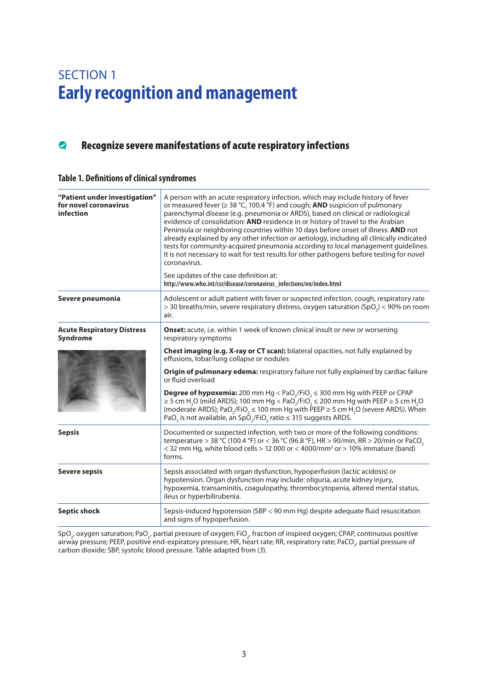### SECTION 1 **Early recognition and management**

### **Recognize severe manifestations of acute respiratory infections**

#### **Table 1. Definitions of clinical syndromes**

| "Patient under investigation"<br>for novel coronavirus<br>infection | A person with an acute respiratory infection, which may include history of fever<br>or measured fever ( $\geq$ 38 °C, 100.4 °F) and cough; AND suspicion of pulmonary<br>parenchymal disease (e.g. pneumonia or ARDS), based on clinical or radiological<br>evidence of consolidation: AND residence in or history of travel to the Arabian<br>Peninsula or neighboring countries within 10 days before onset of illness: AND not<br>already explained by any other infection or aetiology, including all clinically indicated<br>tests for community-acquired pneumonia according to local management guidelines.<br>It is not necessary to wait for test results for other pathogens before testing for novel<br>coronavirus. |
|---------------------------------------------------------------------|---------------------------------------------------------------------------------------------------------------------------------------------------------------------------------------------------------------------------------------------------------------------------------------------------------------------------------------------------------------------------------------------------------------------------------------------------------------------------------------------------------------------------------------------------------------------------------------------------------------------------------------------------------------------------------------------------------------------------------|
|                                                                     | See updates of the case definition at:<br>http://www.who.int/csr/disease/coronavirus_infections/en/index.html                                                                                                                                                                                                                                                                                                                                                                                                                                                                                                                                                                                                                   |
| Severe pneumonia                                                    | Adolescent or adult patient with fever or suspected infection, cough, respiratory rate<br>> 30 breaths/min, severe respiratory distress, oxygen saturation (SpO <sub>2</sub> ) < 90% on room<br>air.                                                                                                                                                                                                                                                                                                                                                                                                                                                                                                                            |
| <b>Acute Respiratory Distress</b><br>Syndrome                       | Onset: acute, i.e. within 1 week of known clinical insult or new or worsening<br>respiratory symptoms                                                                                                                                                                                                                                                                                                                                                                                                                                                                                                                                                                                                                           |
|                                                                     | <b>Chest imaging (e.g. X-ray or CT scan):</b> bilateral opacities, not fully explained by<br>effusions, lobar/lung collapse or nodules                                                                                                                                                                                                                                                                                                                                                                                                                                                                                                                                                                                          |
|                                                                     | Origin of pulmonary edema: respiratory failure not fully explained by cardiac failure<br>or fluid overload                                                                                                                                                                                                                                                                                                                                                                                                                                                                                                                                                                                                                      |
|                                                                     | <b>Degree of hypoxemia:</b> 200 mm Hg < PaO <sub>2</sub> /FiO <sub>2</sub> $\leq$ 300 mm Hg with PEEP or CPAP<br>$\geq$ 5 cm H <sub>2</sub> O (mild ARDS); 100 mm Hg < PaO <sub>2</sub> /FiO <sub>2</sub> $\leq$ 200 mm Hg with PEEP $\geq$ 5 cm H <sub>2</sub> O<br>(moderate ARDS); PaO <sub>2</sub> /FiO <sub>2</sub> $\leq$ 100 mm Hg with PEEP $\geq$ 5 cm H <sub>2</sub> O (severe ARDS). When<br>PaO <sub>2</sub> is not available, an SpO <sub>2</sub> /FiO <sub>2</sub> ratio $\leq$ 315 suggests ARDS.                                                                                                                                                                                                                |
| <b>Sepsis</b>                                                       | Documented or suspected infection, with two or more of the following conditions:<br>temperature > 38 °C (100.4 °F) or < 36 °C (96.8 °F), HR > 90/min, RR > 20/min or PaCO <sub>2</sub><br>< 32 mm Hg, white blood cells > 12 000 or < 4000/mm <sup>3</sup> or > 10% immature (band)<br>forms.                                                                                                                                                                                                                                                                                                                                                                                                                                   |
| <b>Severe sepsis</b>                                                | Sepsis associated with organ dysfunction, hypoperfusion (lactic acidosis) or<br>hypotension. Organ dysfunction may include: oliguria, acute kidney injury,<br>hypoxemia, transaminitis, coagulopathy, thrombocytopenia, altered mental status,<br>ileus or hyperbilirubenia.                                                                                                                                                                                                                                                                                                                                                                                                                                                    |
| <b>Septic shock</b>                                                 | Sepsis-induced hypotension (SBP < 90 mm Hg) despite adequate fluid resuscitation<br>and signs of hypoperfusion.                                                                                                                                                                                                                                                                                                                                                                                                                                                                                                                                                                                                                 |

SpO<sub>2</sub>, oxygen saturation; PaO<sub>2</sub>, partial pressure of oxygen; FiO<sub>2</sub>, fraction of inspired oxygen; CPAP, continuous positive airway pressure; PEEP, positive end-expiratory pressure; HR, heart rate; RR, respiratory rate; PaCO<sub>2</sub>, partial pressure of carbon dioxide; SBP, systolic blood pressure. Table adapted from (*3*).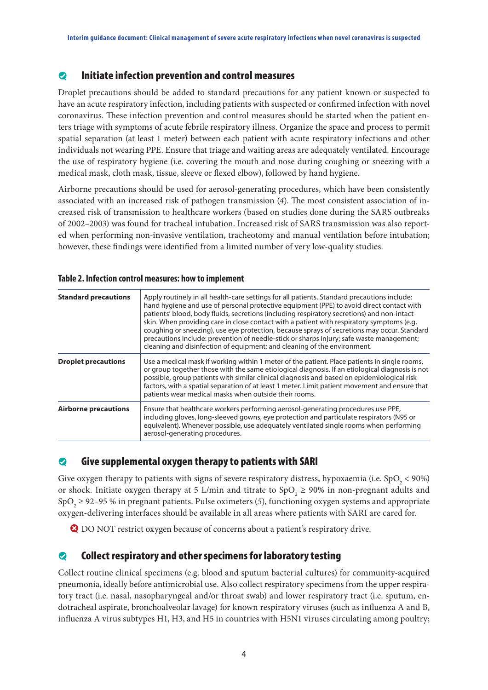#### $\bullet$  Initiate infection prevention and control measures

Droplet precautions should be added to standard precautions for any patient known or suspected to have an acute respiratory infection, including patients with suspected or confirmed infection with novel coronavirus. These infection prevention and control measures should be started when the patient enters triage with symptoms of acute febrile respiratory illness. Organize the space and process to permit spatial separation (at least 1 meter) between each patient with acute respiratory infections and other individuals not wearing PPE. Ensure that triage and waiting areas are adequately ventilated. Encourage the use of respiratory hygiene (i.e. covering the mouth and nose during coughing or sneezing with a medical mask, cloth mask, tissue, sleeve or flexed elbow), followed by hand hygiene.

Airborne precautions should be used for aerosol-generating procedures, which have been consistently associated with an increased risk of pathogen transmission (*4*). The most consistent association of increased risk of transmission to healthcare workers (based on studies done during the SARS outbreaks of 2002–2003) was found for tracheal intubation. Increased risk of SARS transmission was also reported when performing non-invasive ventilation, tracheotomy and manual ventilation before intubation; however, these findings were identified from a limited number of very low-quality studies.

| <b>Standard precautions</b> | Apply routinely in all health-care settings for all patients. Standard precautions include:<br>hand hygiene and use of personal protective equipment (PPE) to avoid direct contact with<br>patients' blood, body fluids, secretions (including respiratory secretions) and non-intact<br>skin. When providing care in close contact with a patient with respiratory symptoms (e.g.<br>coughing or sneezing), use eye protection, because sprays of secretions may occur. Standard<br>precautions include: prevention of needle-stick or sharps injury; safe waste management;<br>cleaning and disinfection of equipment; and cleaning of the environment. |
|-----------------------------|-----------------------------------------------------------------------------------------------------------------------------------------------------------------------------------------------------------------------------------------------------------------------------------------------------------------------------------------------------------------------------------------------------------------------------------------------------------------------------------------------------------------------------------------------------------------------------------------------------------------------------------------------------------|
| <b>Droplet precautions</b>  | Use a medical mask if working within 1 meter of the patient. Place patients in single rooms,<br>or group together those with the same etiological diagnosis. If an etiological diagnosis is not<br>possible, group patients with similar clinical diagnosis and based on epidemiological risk<br>factors, with a spatial separation of at least 1 meter. Limit patient movement and ensure that<br>patients wear medical masks when outside their rooms.                                                                                                                                                                                                  |
| <b>Airborne precautions</b> | Ensure that healthcare workers performing aerosol-generating procedures use PPE,<br>including gloves, long-sleeved gowns, eye protection and particulate respirators (N95 or<br>equivalent). Whenever possible, use adequately ventilated single rooms when performing<br>aerosol-generating procedures.                                                                                                                                                                                                                                                                                                                                                  |

#### **Table 2. Infection control measures: how to implement**

#### $\bullet$  Give supplemental oxygen therapy to patients with SARI

Give oxygen therapy to patients with signs of severe respiratory distress, hypoxaemia (i.e.  $SpO_2 < 90\%$ ) or shock. Initiate oxygen therapy at 5 L/min and titrate to  $SpO<sub>2</sub> \ge 90\%$  in non-pregnant adults and  $SpO<sub>2</sub> \ge 92-95$  % in pregnant patients. Pulse oximeters (5), functioning oxygen systems and appropriate oxygen-delivering interfaces should be available in all areas where patients with SARI are cared for.

**Q** DO NOT restrict oxygen because of concerns about a patient's respiratory drive.

#### $\bullet$  Collect respiratory and other specimens for laboratory testing

Collect routine clinical specimens (e.g. blood and sputum bacterial cultures) for community-acquired pneumonia, ideally before antimicrobial use. Also collect respiratory specimens from the upper respiratory tract (i.e. nasal, nasopharyngeal and/or throat swab) and lower respiratory tract (i.e. sputum, endotracheal aspirate, bronchoalveolar lavage) for known respiratory viruses (such as influenza A and B, influenza A virus subtypes H1, H3, and H5 in countries with H5N1 viruses circulating among poultry;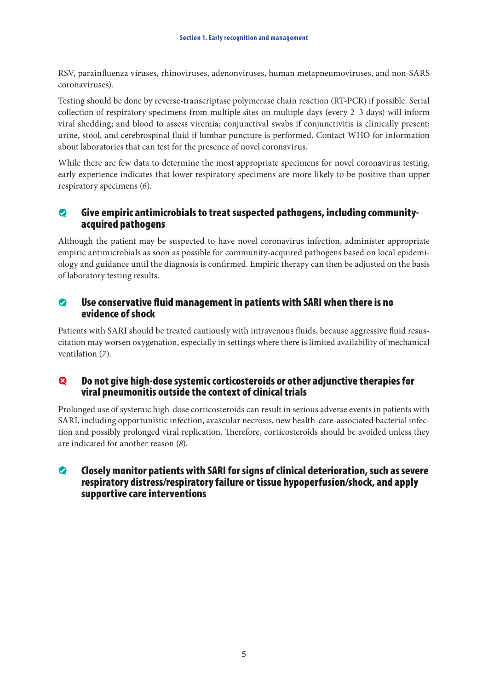RSV, parainfluenza viruses, rhinoviruses, adenonviruses, human metapneumoviruses, and non-SARS coronaviruses).

Testing should be done by reverse-transcriptase polymerase chain reaction (RT-PCR) if possible. Serial collection of respiratory specimens from multiple sites on multiple days (every 2–3 days) will inform viral shedding; and blood to assess viremia; conjunctival swabs if conjunctivitis is clinically present; urine, stool, and cerebrospinal fluid if lumbar puncture is performed. Contact WHO for information about laboratories that can test for the presence of novel coronavirus.

While there are few data to determine the most appropriate specimens for novel coronavirus testing, early experience indicates that lower respiratory specimens are more likely to be positive than upper respiratory specimens (*6*).

#### $\bullet$  Give empiric antimicrobials to treat suspected pathogens, including communityacquired pathogens

Although the patient may be suspected to have novel coronavirus infection, administer appropriate empiric antimicrobials as soon as possible for community-acquired pathogens based on local epidemiology and guidance until the diagnosis is confirmed. Empiric therapy can then be adjusted on the basis of laboratory testing results.

#### $\bullet$  Use conservative fluid management in patients with SARI when there is no evidence of shock

Patients with SARI should be treated cautiously with intravenous fluids, because aggressive fluid resuscitation may worsen oxygenation, especially in settings where there is limited availability of mechanical ventilation (*7*).

#### $\bullet$  Do not give high-dose systemic corticosteroids or other adjunctive therapies for viral pneumonitis outside the context of clinical trials

Prolonged use of systemic high-dose corticosteroids can result in serious adverse events in patients with SARI, including opportunistic infection, avascular necrosis, new health-care-associated bacterial infection and possibly prolonged viral replication. Therefore, corticosteroids should be avoided unless they are indicated for another reason (*8*).

#### $\bullet$  Closely monitor patients with SARI for signs of clinical deterioration, such as severe respiratory distress/respiratory failure or tissue hypoperfusion/shock, and apply supportive care interventions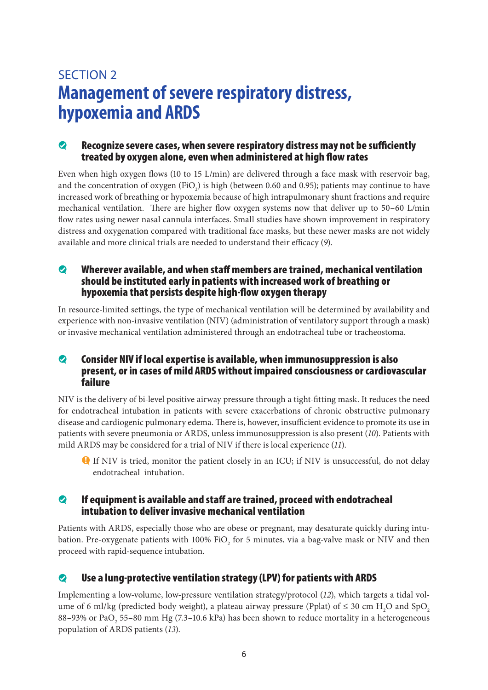### SECTION 2 **Management of severe respiratory distress, hypoxemia and ARDS**

#### $\bullet$  Recognize severe cases, when severe respiratory distress may not be sufficiently treated by oxygen alone, even when administered at high flow rates

Even when high oxygen flows (10 to 15 L/min) are delivered through a face mask with reservoir bag, and the concentration of oxygen (FiO<sub>2</sub>) is high (between 0.60 and 0.95); patients may continue to have increased work of breathing or hypoxemia because of high intrapulmonary shunt fractions and require mechanical ventilation. There are higher flow oxygen systems now that deliver up to 50–60 L/min flow rates using newer nasal cannula interfaces. Small studies have shown improvement in respiratory distress and oxygenation compared with traditional face masks, but these newer masks are not widely available and more clinical trials are needed to understand their efficacy (*9*).

#### $\bullet$  Wherever available, and when staff members are trained, mechanical ventilation should be instituted early in patients with increased work of breathing or hypoxemia that persists despite high-flow oxygen therapy

In resource-limited settings, the type of mechanical ventilation will be determined by availability and experience with non-invasive ventilation (NIV) (administration of ventilatory support through a mask) or invasive mechanical ventilation administered through an endotracheal tube or tracheostoma.

#### $\bullet$  Consider NIV if local expertise is available, when immunosuppression is also present, or in cases of mild ARDS without impaired consciousness or cardiovascular failure

NIV is the delivery of bi-level positive airway pressure through a tight-fitting mask. It reduces the need for endotracheal intubation in patients with severe exacerbations of chronic obstructive pulmonary disease and cardiogenic pulmonary edema. There is, however, insufficient evidence to promote its use in patients with severe pneumonia or ARDS, unless immunosuppression is also present (*10*). Patients with mild ARDS may be considered for a trial of NIV if there is local experience (*11*).

**Q** If NIV is tried, monitor the patient closely in an ICU; if NIV is unsuccessful, do not delay endotracheal intubation.

#### $\bullet$  If equipment is available and staff are trained, proceed with endotracheal intubation to deliver invasive mechanical ventilation

Patients with ARDS, especially those who are obese or pregnant, may desaturate quickly during intubation. Pre-oxygenate patients with 100% FiO<sub>2</sub> for 5 minutes, via a bag-valve mask or NIV and then proceed with rapid-sequence intubation.

### $\bullet$  Use a lung-protective ventilation strategy (LPV) for patients with ARDS

Implementing a low-volume, low-pressure ventilation strategy/protocol (*12*), which targets a tidal volume of 6 ml/kg (predicted body weight), a plateau airway pressure (Pplat) of  $\leq$  30 cm H<sub>2</sub>O and SpO<sub>2</sub> 88–93% or PaO<sub>2</sub> 55–80 mm Hg (7.3–10.6 kPa) has been shown to reduce mortality in a heterogeneous population of ARDS patients (*13*).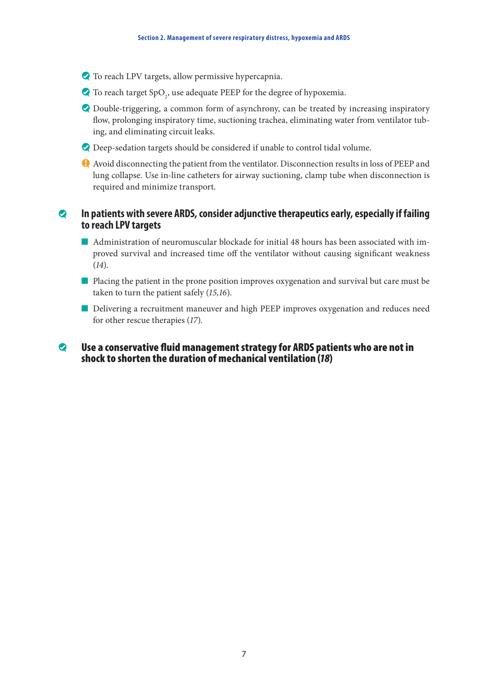- $\bullet$  To reach LPV targets, allow permissive hypercapnia.
- $\bullet$  To reach target  $\text{SpO}_2$  use adequate PEEP for the degree of hypoxemia.
- $\bullet$  Double-triggering, a common form of asynchrony, can be treated by increasing inspiratory flow, prolonging inspiratory time, suctioning trachea, eliminating water from ventilator tubing, and eliminating circuit leaks.
- $\bullet$  Deep-sedation targets should be considered if unable to control tidal volume.
- f Avoid disconnecting the patient from the ventilator. Disconnection results in loss of PEEP and lung collapse. Use in-line catheters for airway suctioning, clamp tube when disconnection is required and minimize transport.

#### **2** In patients with severe ARDS, consider adjunctive therapeutics early, especially if failing **to reach LPV targets**

- $\blacksquare$  Administration of neuromuscular blockade for initial 48 hours has been associated with improved survival and increased time off the ventilator without causing significant weakness (*14*).
- n Placing the patient in the prone position improves oxygenation and survival but care must be taken to turn the patient safely (*15,16*).
- n Delivering a recruitment maneuver and high PEEP improves oxygenation and reduces need for other rescue therapies (*17*).

#### $\bullet$  Use a conservative fluid management strategy for ARDS patients who are not in shock to shorten the duration of mechanical ventilation (*18*)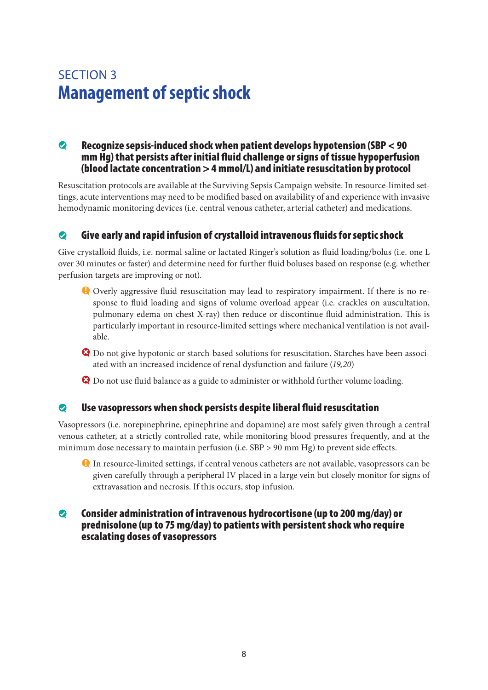### SECTION 3 **Management of septic shock**

#### $\odot$  Recognize sepsis-induced shock when patient develops hypotension (SBP  $<$  90 mm Hg) that persists after initial fluid challenge or signs of tissue hypoperfusion (blood lactate concentration > 4 mmol/L) and initiate resuscitation by protocol

Resuscitation protocols are available at the Surviving Sepsis Campaign website. In resource-limited settings, acute interventions may need to be modified based on availability of and experience with invasive hemodynamic monitoring devices (i.e. central venous catheter, arterial catheter) and medications.

#### $\bullet$  Give early and rapid infusion of crystalloid intravenous fluids for septic shock

Give crystalloid fluids, i.e. normal saline or lactated Ringer's solution as fluid loading/bolus (i.e. one L over 30 minutes or faster) and determine need for further fluid boluses based on response (e.g. whether perfusion targets are improving or not).

- f Overly aggressive fluid resuscitation may lead to respiratory impairment. If there is no response to fluid loading and signs of volume overload appear (i.e. crackles on auscultation, pulmonary edema on chest X-ray) then reduce or discontinue fluid administration. This is particularly important in resource-limited settings where mechanical ventilation is not available.
- **Q** Do not give hypotonic or starch-based solutions for resuscitation. Starches have been associated with an increased incidence of renal dysfunction and failure (*19,20*)
- $\bullet$  Do not use fluid balance as a guide to administer or withhold further volume loading.

#### $\bullet$  Use vasopressors when shock persists despite liberal fluid resuscitation

Vasopressors (i.e. norepinephrine, epinephrine and dopamine) are most safely given through a central venous catheter, at a strictly controlled rate, while monitoring blood pressures frequently, and at the minimum dose necessary to maintain perfusion (i.e. SBP > 90 mm Hg) to prevent side effects.

f In resource-limited settings, if central venous catheters are not available, vasopressors can be given carefully through a peripheral IV placed in a large vein but closely monitor for signs of extravasation and necrosis. If this occurs, stop infusion.

#### $\bullet$  Consider administration of intravenous hydrocortisone (up to 200 mg/day) or prednisolone (up to 75 mg/day) to patients with persistent shock who require escalating doses of vasopressors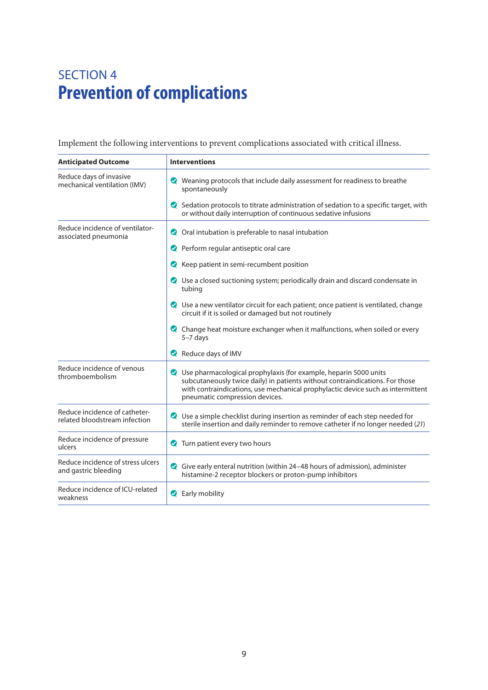### SECTION 4 **Prevention of complications**

Implement the following interventions to prevent complications associated with critical illness.

| <b>Anticipated Outcome</b>                                     | <b>Interventions</b>                                                                                                                                                                                                                                                    |
|----------------------------------------------------------------|-------------------------------------------------------------------------------------------------------------------------------------------------------------------------------------------------------------------------------------------------------------------------|
| Reduce days of invasive<br>mechanical ventilation (IMV)        | Weaning protocols that include daily assessment for readiness to breathe<br>spontaneously                                                                                                                                                                               |
|                                                                | Sedation protocols to titrate administration of sedation to a specific target, with<br>or without daily interruption of continuous sedative infusions                                                                                                                   |
| Reduce incidence of ventilator-<br>associated pneumonia        | Oral intubation is preferable to nasal intubation                                                                                                                                                                                                                       |
|                                                                | Perform regular antiseptic oral care                                                                                                                                                                                                                                    |
|                                                                | Reep patient in semi-recumbent position                                                                                                                                                                                                                                 |
|                                                                | ◯ Use a closed suctioning system; periodically drain and discard condensate in<br>tubing                                                                                                                                                                                |
|                                                                | ◯ Use a new ventilator circuit for each patient; once patient is ventilated, change<br>circuit if it is soiled or damaged but not routinely                                                                                                                             |
|                                                                | Change heat moisture exchanger when it malfunctions, when soiled or every<br>$5-7$ days                                                                                                                                                                                 |
|                                                                | Reduce days of IMV                                                                                                                                                                                                                                                      |
| Reduce incidence of venous<br>thromboembolism                  | ◆ Use pharmacological prophylaxis (for example, heparin 5000 units<br>subcutaneously twice daily) in patients without contraindications. For those<br>with contraindications, use mechanical prophylactic device such as intermittent<br>pneumatic compression devices. |
| Reduce incidence of catheter-<br>related bloodstream infection | ◯ Use a simple checklist during insertion as reminder of each step needed for<br>sterile insertion and daily reminder to remove catheter if no longer needed (21)                                                                                                       |
| Reduce incidence of pressure<br>ulcers                         | Turn patient every two hours                                                                                                                                                                                                                                            |
| Reduce incidence of stress ulcers<br>and gastric bleeding      | Give early enteral nutrition (within 24-48 hours of admission), administer<br>Ø<br>histamine-2 receptor blockers or proton-pump inhibitors                                                                                                                              |
| Reduce incidence of ICU-related<br>weakness                    | Rearly mobility                                                                                                                                                                                                                                                         |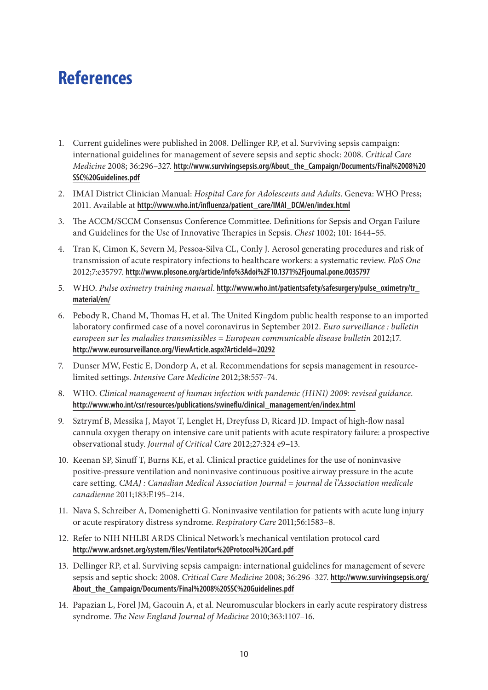## **References**

- 1. Current guidelines were published in 2008. Dellinger RP, et al. Surviving sepsis campaign: international guidelines for management of severe sepsis and septic shock: 2008. *Critical Care Medicine* 2008; 36:296–327. **http://www.survivingsepsis.org/About\_the\_Campaign/Documents/Final%2008%20 SSC%20Guidelines.pdf**
- 2. IMAI District Clinician Manual: *Hospital Care for Adolescents and Adults*. Geneva: WHO Press; 2011. Available at **http://www.who.int/influenza/patient\_care/IMAI\_DCM/en/index.html**
- 3. The ACCM/SCCM Consensus Conference Committee. Definitions for Sepsis and Organ Failure and Guidelines for the Use of Innovative Therapies in Sepsis. *Chest* 1002; 101: 1644–55.
- 4. Tran K, Cimon K, Severn M, Pessoa-Silva CL, Conly J. Aerosol generating procedures and risk of transmission of acute respiratory infections to healthcare workers: a systematic review. *PloS One*  2012;7:e35797. **http://www.plosone.org/article/info%3Adoi%2F10.1371%2Fjournal.pone.0035797**
- 5. WHO. *Pulse oximetry training manual*. **http://www.who.int/patientsafety/safesurgery/pulse\_oximetry/tr\_ material/en/**
- 6. Pebody R, Chand M, Thomas H, et al. The United Kingdom public health response to an imported laboratory confirmed case of a novel coronavirus in September 2012. *Euro surveillance : bulletin europeen sur les maladies transmissibles = European communicable disease bulletin* 2012;17. **http://www.eurosurveillance.org/ViewArticle.aspx?ArticleId=20292**
- 7. Dunser MW, Festic E, Dondorp A, et al. Recommendations for sepsis management in resourcelimited settings. *Intensive Care Medicine* 2012;38:557–74.
- 8. WHO. *Clinical management of human infection with pandemic (H1N1) 2009: revised guidance*. **http://www.who.int/csr/resources/publications/swineflu/clinical\_management/en/index.html**
- 9. Sztrymf B, Messika J, Mayot T, Lenglet H, Dreyfuss D, Ricard JD. Impact of high-flow nasal cannula oxygen therapy on intensive care unit patients with acute respiratory failure: a prospective observational study. *Journal of Critical Care* 2012;27:324 e9–13.
- 10. Keenan SP, Sinuff T, Burns KE, et al. Clinical practice guidelines for the use of noninvasive positive-pressure ventilation and noninvasive continuous positive airway pressure in the acute care setting. *CMAJ : Canadian Medical Association Journal = journal de l'Association medicale canadienne* 2011;183:E195–214.
- 11. Nava S, Schreiber A, Domenighetti G. Noninvasive ventilation for patients with acute lung injury or acute respiratory distress syndrome. *Respiratory Care* 2011;56:1583–8.
- 12. Refer to NIH NHLBI ARDS Clinical Network's mechanical ventilation protocol card **http://www.ardsnet.org/system/files/Ventilator%20Protocol%20Card.pdf**
- 13. Dellinger RP, et al. Surviving sepsis campaign: international guidelines for management of severe sepsis and septic shock: 2008. *Critical Care Medicine* 2008; 36:296–327. **http://www.survivingsepsis.org/ About\_the\_Campaign/Documents/Final%2008%20SSC%20Guidelines.pdf**
- 14. Papazian L, Forel JM, Gacouin A, et al. Neuromuscular blockers in early acute respiratory distress syndrome. *The New England Journal of Medicine* 2010;363:1107–16.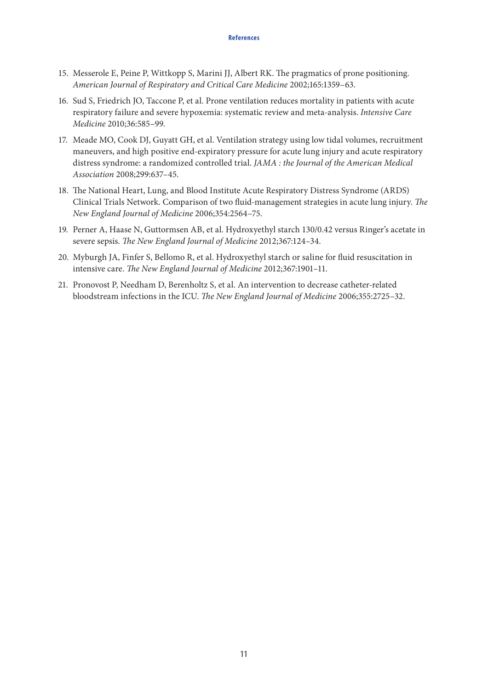- 15. Messerole E, Peine P, Wittkopp S, Marini JJ, Albert RK. The pragmatics of prone positioning. *American Journal of Respiratory and Critical Care Medicine* 2002;165:1359–63.
- 16. Sud S, Friedrich JO, Taccone P, et al. Prone ventilation reduces mortality in patients with acute respiratory failure and severe hypoxemia: systematic review and meta-analysis. *Intensive Care Medicine* 2010;36:585–99.
- 17. Meade MO, Cook DJ, Guyatt GH, et al. Ventilation strategy using low tidal volumes, recruitment maneuvers, and high positive end-expiratory pressure for acute lung injury and acute respiratory distress syndrome: a randomized controlled trial. *JAMA : the Journal of the American Medical Association* 2008;299:637–45.
- 18. The National Heart, Lung, and Blood Institute Acute Respiratory Distress Syndrome (ARDS) Clinical Trials Network. Comparison of two fluid-management strategies in acute lung injury. *The New England Journal of Medicine* 2006;354:2564–75.
- 19. Perner A, Haase N, Guttormsen AB, et al. Hydroxyethyl starch 130/0.42 versus Ringer's acetate in severe sepsis. *The New England Journal of Medicine* 2012;367:124–34.
- 20. Myburgh JA, Finfer S, Bellomo R, et al. Hydroxyethyl starch or saline for fluid resuscitation in intensive care. *The New England Journal of Medicine* 2012;367:1901–11.
- 21. Pronovost P, Needham D, Berenholtz S, et al. An intervention to decrease catheter-related bloodstream infections in the ICU. *The New England Journal of Medicine* 2006;355:2725–32.